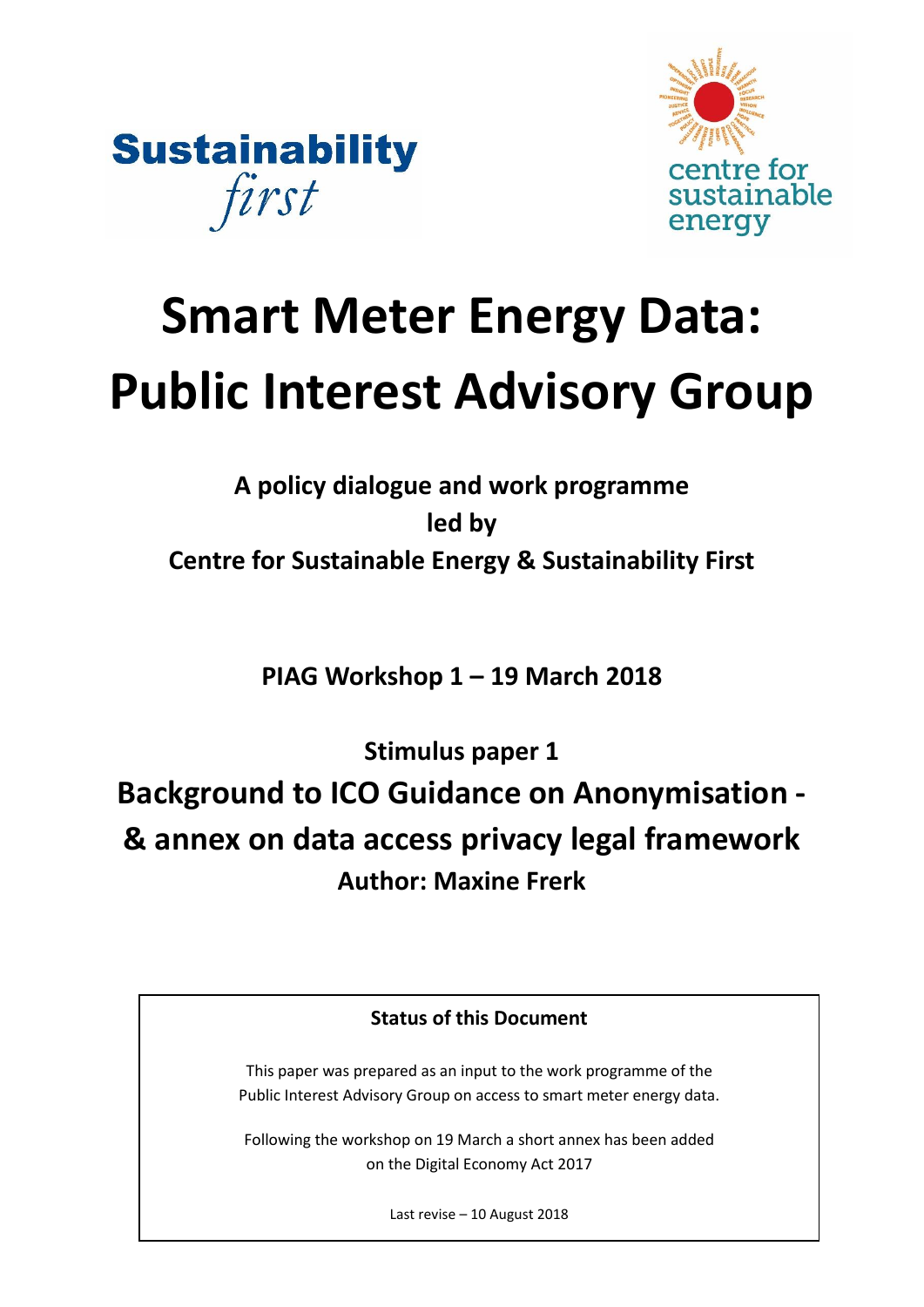



# **Smart Meter Energy Data: Public Interest Advisory Group**

# **A policy dialogue and work programme led by Centre for Sustainable Energy & Sustainability First**

**PIAG Workshop 1 – 19 March 2018**

**Stimulus paper 1** 

**Background to ICO Guidance on Anonymisation - & annex on data access privacy legal framework Author: Maxine Frerk**

# **Status of this Document**

This paper was prepared as an input to the work programme of the Public Interest Advisory Group on access to smart meter energy data.

Following the workshop on 19 March a short annex has been added on the Digital Economy Act 2017

Last revise – 10 August 2018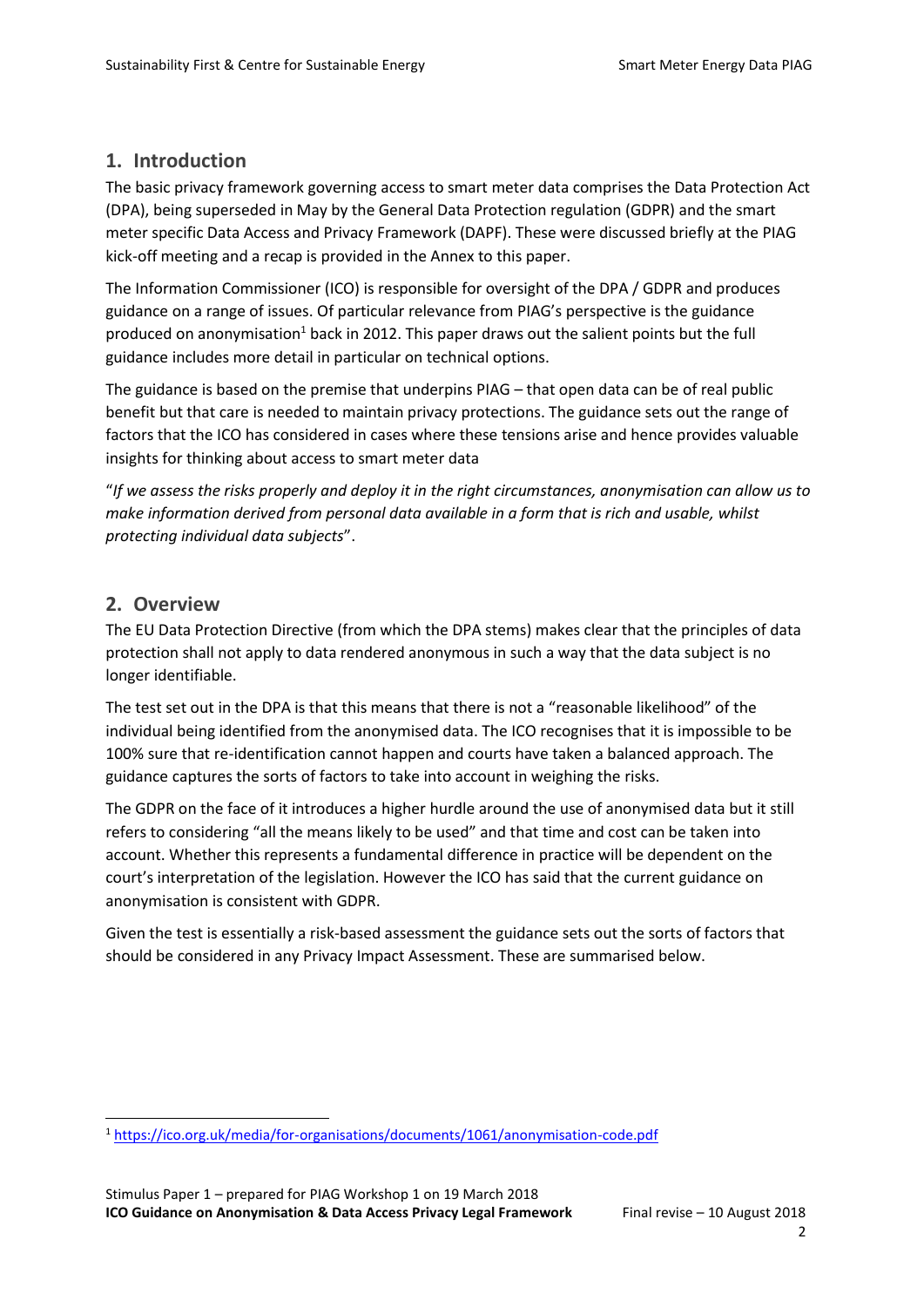## **1. Introduction**

The basic privacy framework governing access to smart meter data comprises the Data Protection Act (DPA), being superseded in May by the General Data Protection regulation (GDPR) and the smart meter specific Data Access and Privacy Framework (DAPF). These were discussed briefly at the PIAG kick-off meeting and a recap is provided in the Annex to this paper.

The Information Commissioner (ICO) is responsible for oversight of the DPA / GDPR and produces guidance on a range of issues. Of particular relevance from PIAG's perspective is the guidance produced on anonymisation<sup>1</sup> back in 2012. This paper draws out the salient points but the full guidance includes more detail in particular on technical options.

The guidance is based on the premise that underpins PIAG – that open data can be of real public benefit but that care is needed to maintain privacy protections. The guidance sets out the range of factors that the ICO has considered in cases where these tensions arise and hence provides valuable insights for thinking about access to smart meter data

"*If we assess the risks properly and deploy it in the right circumstances, anonymisation can allow us to make information derived from personal data available in a form that is rich and usable, whilst protecting individual data subjects*".

### **2. Overview**

The EU Data Protection Directive (from which the DPA stems) makes clear that the principles of data protection shall not apply to data rendered anonymous in such a way that the data subject is no longer identifiable.

The test set out in the DPA is that this means that there is not a "reasonable likelihood" of the individual being identified from the anonymised data. The ICO recognises that it is impossible to be 100% sure that re-identification cannot happen and courts have taken a balanced approach. The guidance captures the sorts of factors to take into account in weighing the risks.

The GDPR on the face of it introduces a higher hurdle around the use of anonymised data but it still refers to considering "all the means likely to be used" and that time and cost can be taken into account. Whether this represents a fundamental difference in practice will be dependent on the court's interpretation of the legislation. However the ICO has said that the current guidance on anonymisation is consistent with GDPR.

Given the test is essentially a risk-based assessment the guidance sets out the sorts of factors that should be considered in any Privacy Impact Assessment. These are summarised below.

 $\overline{a}$ <sup>1</sup> <https://ico.org.uk/media/for-organisations/documents/1061/anonymisation-code.pdf>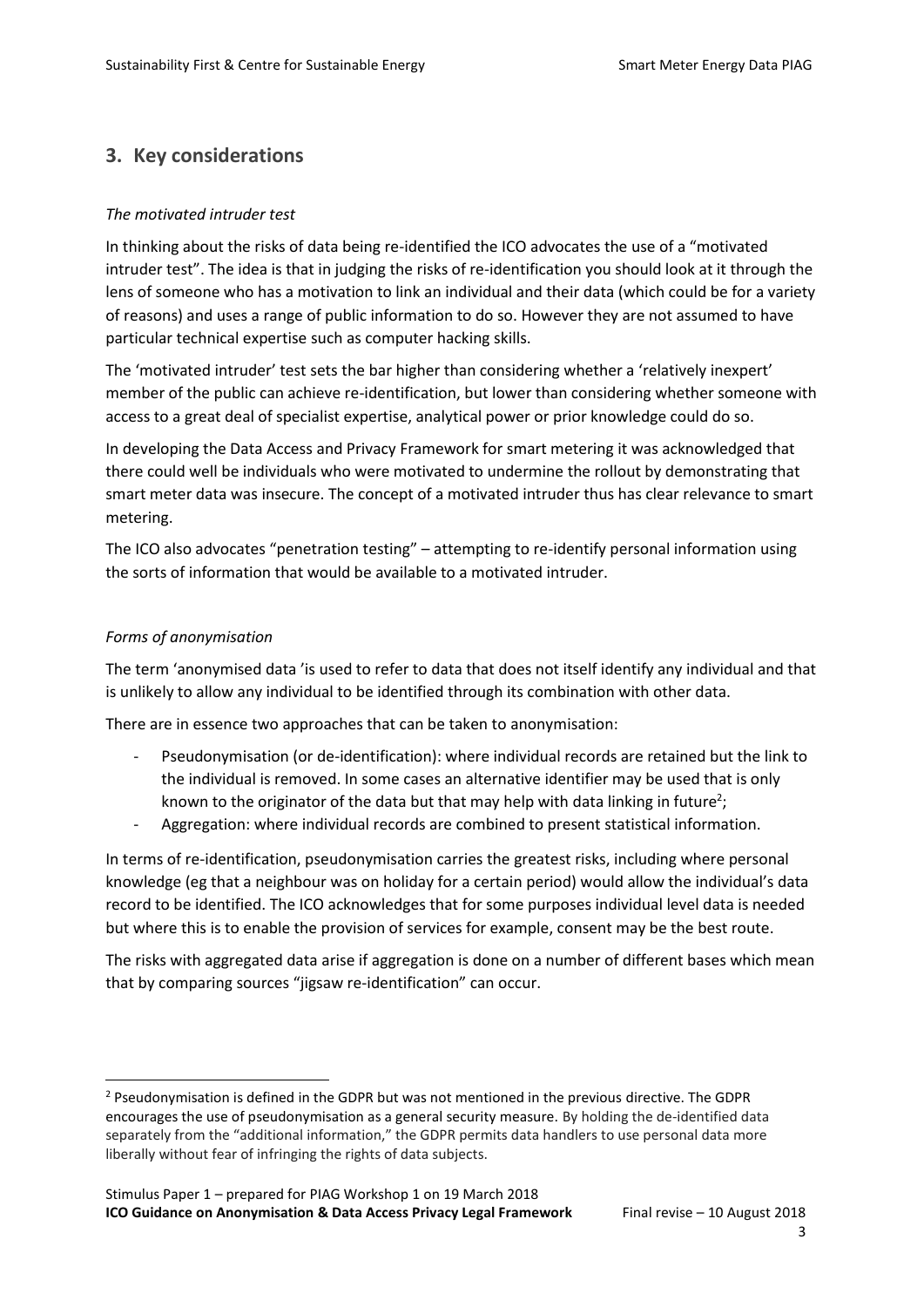# **3. Key considerations**

#### *The motivated intruder test*

In thinking about the risks of data being re-identified the ICO advocates the use of a "motivated intruder test". The idea is that in judging the risks of re-identification you should look at it through the lens of someone who has a motivation to link an individual and their data (which could be for a variety of reasons) and uses a range of public information to do so. However they are not assumed to have particular technical expertise such as computer hacking skills.

The 'motivated intruder' test sets the bar higher than considering whether a 'relatively inexpert' member of the public can achieve re-identification, but lower than considering whether someone with access to a great deal of specialist expertise, analytical power or prior knowledge could do so.

In developing the Data Access and Privacy Framework for smart metering it was acknowledged that there could well be individuals who were motivated to undermine the rollout by demonstrating that smart meter data was insecure. The concept of a motivated intruder thus has clear relevance to smart metering.

The ICO also advocates "penetration testing" – attempting to re-identify personal information using the sorts of information that would be available to a motivated intruder.

#### *Forms of anonymisation*

 $\overline{a}$ 

The term 'anonymised data 'is used to refer to data that does not itself identify any individual and that is unlikely to allow any individual to be identified through its combination with other data.

There are in essence two approaches that can be taken to anonymisation:

- Pseudonymisation (or de-identification): where individual records are retained but the link to the individual is removed. In some cases an alternative identifier may be used that is only known to the originator of the data but that may help with data linking in future<sup>2</sup>;
- Aggregation: where individual records are combined to present statistical information.

In terms of re-identification, pseudonymisation carries the greatest risks, including where personal knowledge (eg that a neighbour was on holiday for a certain period) would allow the individual's data record to be identified. The ICO acknowledges that for some purposes individual level data is needed but where this is to enable the provision of services for example, consent may be the best route.

The risks with aggregated data arise if aggregation is done on a number of different bases which mean that by comparing sources "jigsaw re-identification" can occur.

 $2$  Pseudonymisation is defined in the GDPR but was not mentioned in the previous directive. The GDPR encourages the use of pseudonymisation as a general security measure. By holding the de-identified data separately from the "additional information," the GDPR permits data handlers to use personal data more liberally without fear of infringing the rights of data subjects.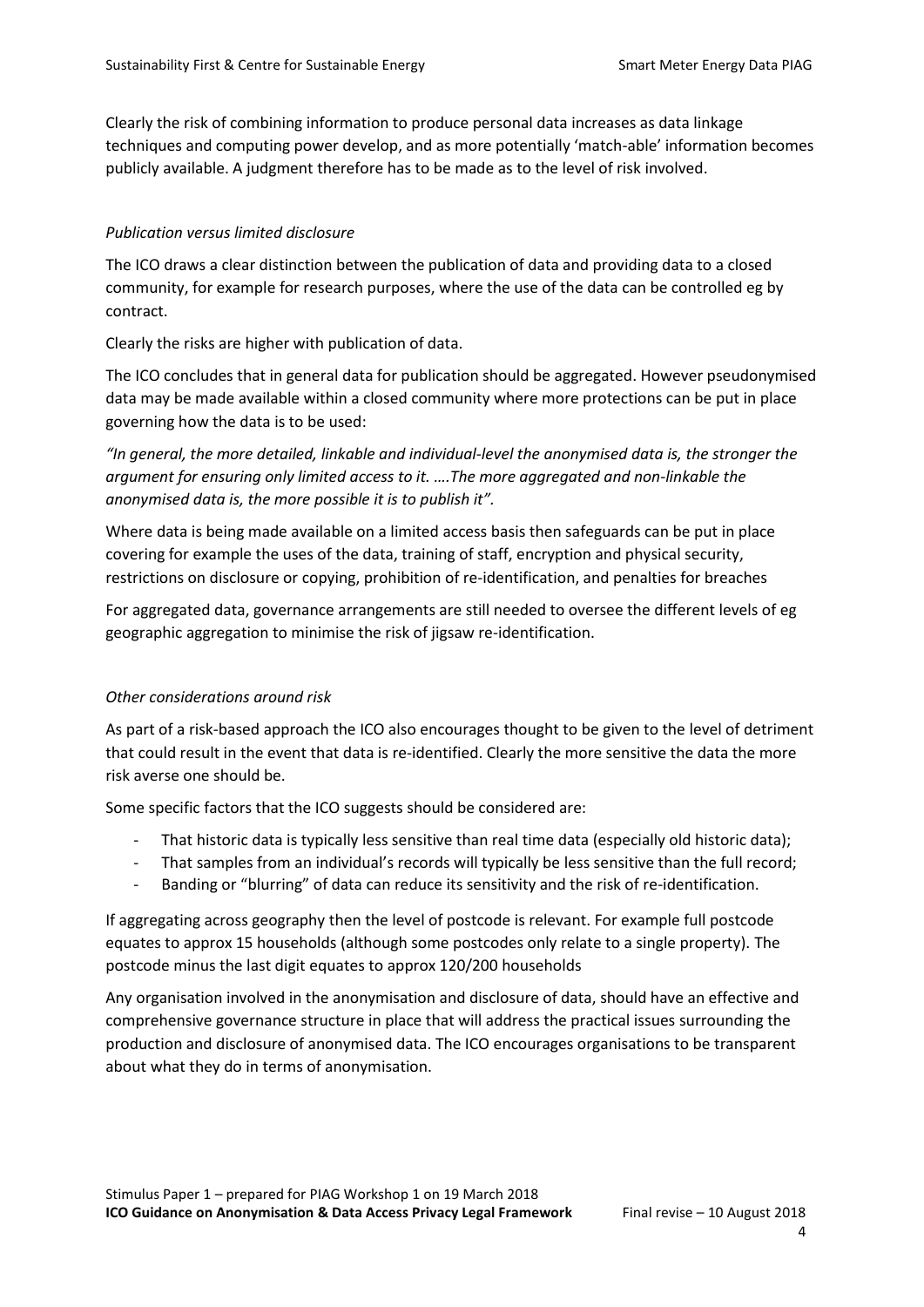Clearly the risk of combining information to produce personal data increases as data linkage techniques and computing power develop, and as more potentially 'match-able' information becomes publicly available. A judgment therefore has to be made as to the level of risk involved.

#### *Publication versus limited disclosure*

The ICO draws a clear distinction between the publication of data and providing data to a closed community, for example for research purposes, where the use of the data can be controlled eg by contract.

Clearly the risks are higher with publication of data.

The ICO concludes that in general data for publication should be aggregated. However pseudonymised data may be made available within a closed community where more protections can be put in place governing how the data is to be used:

*"In general, the more detailed, linkable and individual-level the anonymised data is, the stronger the argument for ensuring only limited access to it. ….The more aggregated and non-linkable the anonymised data is, the more possible it is to publish it".*

Where data is being made available on a limited access basis then safeguards can be put in place covering for example the uses of the data, training of staff, encryption and physical security, restrictions on disclosure or copying, prohibition of re-identification, and penalties for breaches

For aggregated data, governance arrangements are still needed to oversee the different levels of eg geographic aggregation to minimise the risk of jigsaw re-identification.

#### *Other considerations around risk*

As part of a risk-based approach the ICO also encourages thought to be given to the level of detriment that could result in the event that data is re-identified. Clearly the more sensitive the data the more risk averse one should be.

Some specific factors that the ICO suggests should be considered are:

- That historic data is typically less sensitive than real time data (especially old historic data);
- That samples from an individual's records will typically be less sensitive than the full record;
- Banding or "blurring" of data can reduce its sensitivity and the risk of re-identification.

If aggregating across geography then the level of postcode is relevant. For example full postcode equates to approx 15 households (although some postcodes only relate to a single property). The postcode minus the last digit equates to approx 120/200 households

Any organisation involved in the anonymisation and disclosure of data, should have an effective and comprehensive governance structure in place that will address the practical issues surrounding the production and disclosure of anonymised data. The ICO encourages organisations to be transparent about what they do in terms of anonymisation.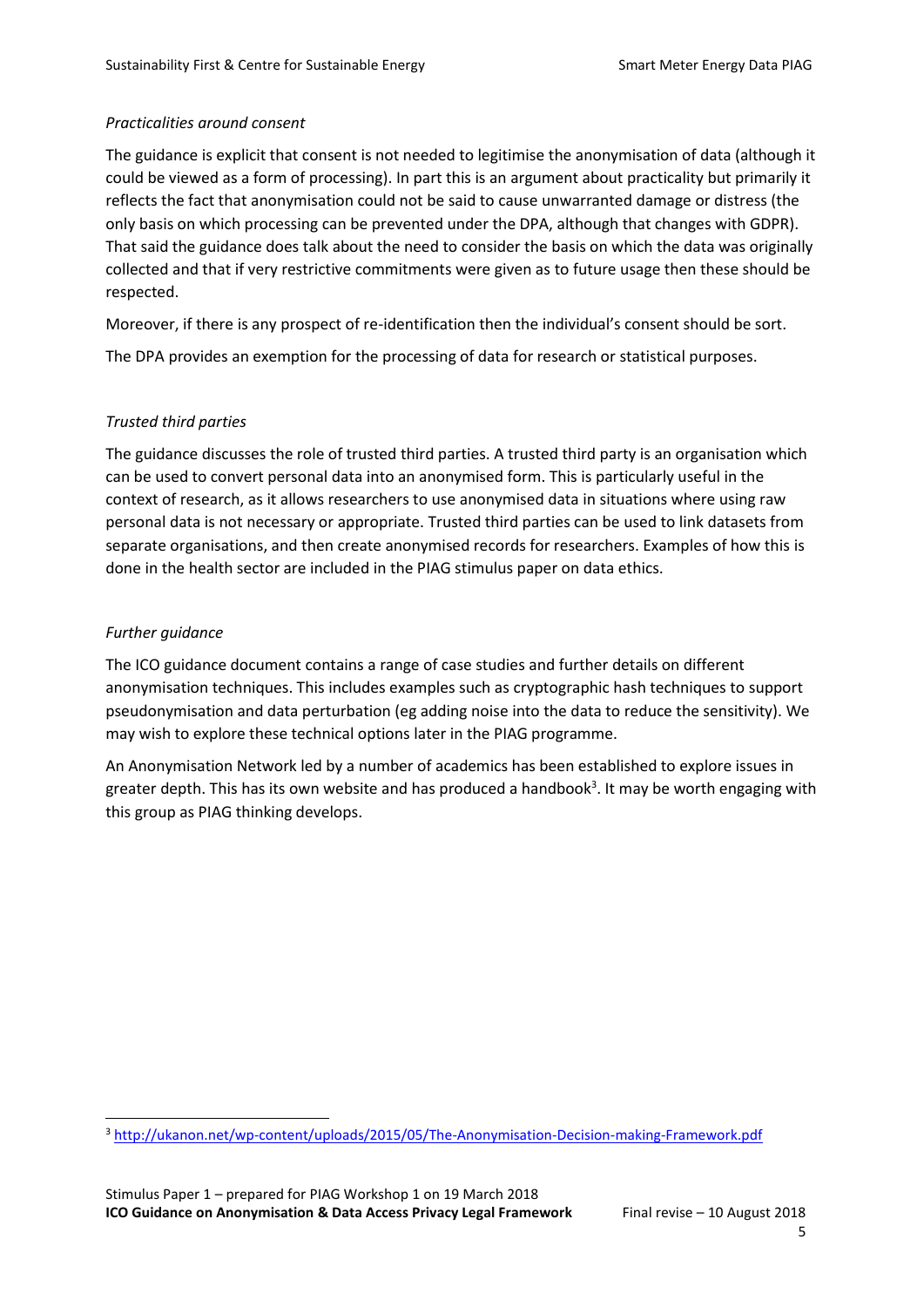#### *Practicalities around consent*

The guidance is explicit that consent is not needed to legitimise the anonymisation of data (although it could be viewed as a form of processing). In part this is an argument about practicality but primarily it reflects the fact that anonymisation could not be said to cause unwarranted damage or distress (the only basis on which processing can be prevented under the DPA, although that changes with GDPR). That said the guidance does talk about the need to consider the basis on which the data was originally collected and that if very restrictive commitments were given as to future usage then these should be respected.

Moreover, if there is any prospect of re-identification then the individual's consent should be sort. The DPA provides an exemption for the processing of data for research or statistical purposes.

#### *Trusted third parties*

The guidance discusses the role of trusted third parties. A trusted third party is an organisation which can be used to convert personal data into an anonymised form. This is particularly useful in the context of research, as it allows researchers to use anonymised data in situations where using raw personal data is not necessary or appropriate. Trusted third parties can be used to link datasets from separate organisations, and then create anonymised records for researchers. Examples of how this is done in the health sector are included in the PIAG stimulus paper on data ethics.

#### *Further guidance*

 $\overline{a}$ 

The ICO guidance document contains a range of case studies and further details on different anonymisation techniques. This includes examples such as cryptographic hash techniques to support pseudonymisation and data perturbation (eg adding noise into the data to reduce the sensitivity). We may wish to explore these technical options later in the PIAG programme.

An Anonymisation Network led by a number of academics has been established to explore issues in greater depth. This has its own website and has produced a handbook<sup>3</sup>. It may be worth engaging with this group as PIAG thinking develops.

<sup>3</sup> <http://ukanon.net/wp-content/uploads/2015/05/The-Anonymisation-Decision-making-Framework.pdf>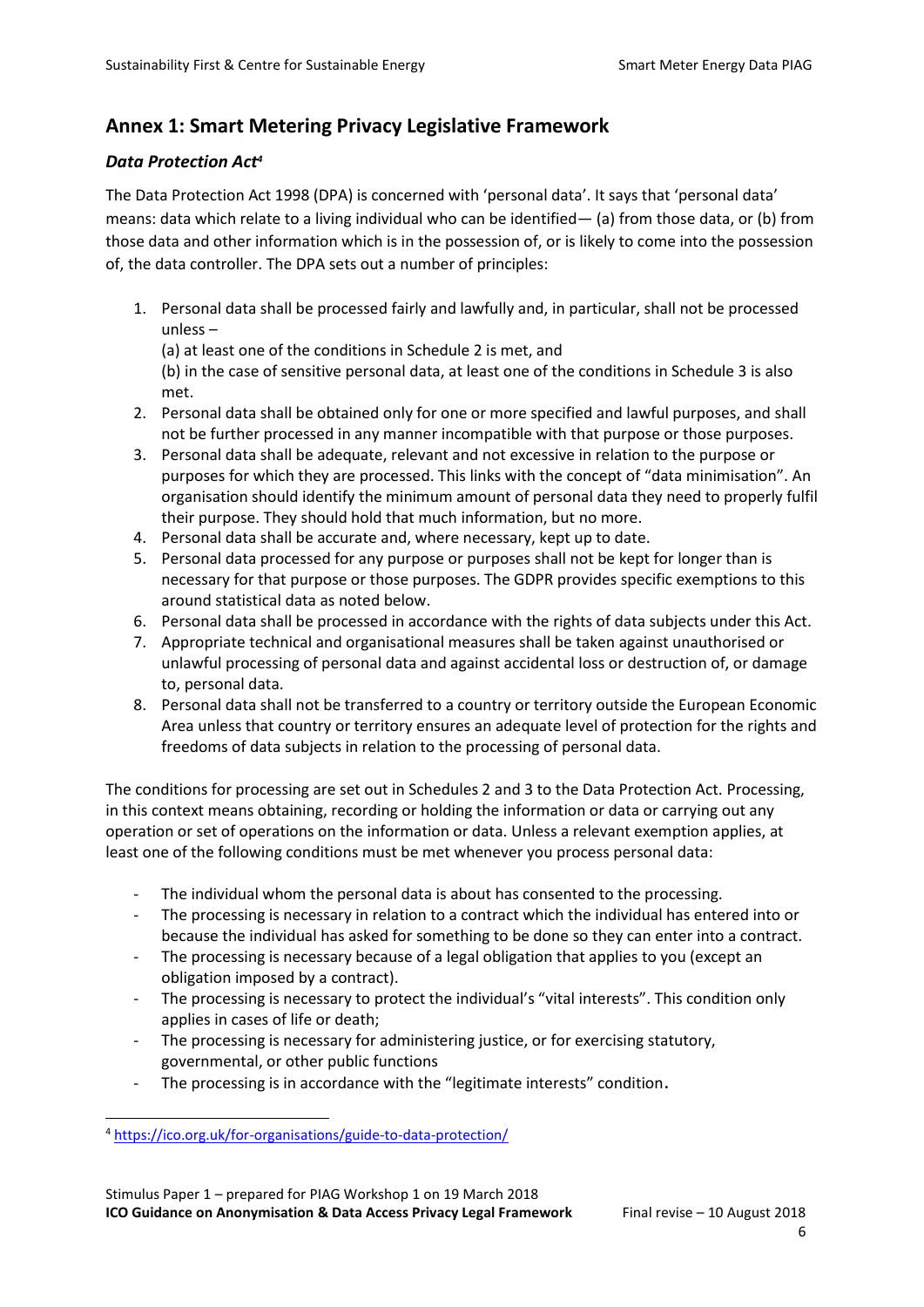# **Annex 1: Smart Metering Privacy Legislative Framework**

#### *Data Protection Act<sup>4</sup>*

The Data Protection Act 1998 (DPA) is concerned with 'personal data'. It says that 'personal data' means: data which relate to a living individual who can be identified— (a) from those data, or (b) from those data and other information which is in the possession of, or is likely to come into the possession of, the data controller. The DPA sets out a number of principles:

1. Personal data shall be processed fairly and lawfully and, in particular, shall not be processed unless –

(a) at least one of the conditions in Schedule 2 is met, and

(b) in the case of sensitive personal data, at least one of the conditions in Schedule 3 is also met.

- 2. Personal data shall be obtained only for one or more specified and lawful purposes, and shall not be further processed in any manner incompatible with that purpose or those purposes.
- 3. Personal data shall be adequate, relevant and not excessive in relation to the purpose or purposes for which they are processed. This links with the concept of "data minimisation". An organisation should identify the minimum amount of personal data they need to properly fulfil their purpose. They should hold that much information, but no more.
- 4. Personal data shall be accurate and, where necessary, kept up to date.
- 5. Personal data processed for any purpose or purposes shall not be kept for longer than is necessary for that purpose or those purposes. The GDPR provides specific exemptions to this around statistical data as noted below.
- 6. Personal data shall be processed in accordance with the rights of data subjects under this Act.
- 7. Appropriate technical and organisational measures shall be taken against unauthorised or unlawful processing of personal data and against accidental loss or destruction of, or damage to, personal data.
- 8. Personal data shall not be transferred to a country or territory outside the European Economic Area unless that country or territory ensures an adequate level of protection for the rights and freedoms of data subjects in relation to the processing of personal data.

The conditions for processing are set out in Schedules 2 and 3 to the Data Protection Act. Processing, in this context means obtaining, recording or holding the information or data or carrying out any operation or set of operations on the information or data. Unless a relevant exemption applies, at least one of the following conditions must be met whenever you process personal data:

- The individual whom the personal data is about has consented to the processing.
- The processing is necessary in relation to a contract which the individual has entered into or because the individual has asked for something to be done so they can enter into a contract.
- The processing is necessary because of a legal obligation that applies to you (except an obligation imposed by a contract).
- The processing is necessary to protect the individual's "vital interests". This condition only applies in cases of life or death;
- The processing is necessary for administering justice, or for exercising statutory, governmental, or other public functions
- The processing is in accordance with the "legitimate interests" condition.

 $\overline{a}$ <sup>4</sup> <https://ico.org.uk/for-organisations/guide-to-data-protection/>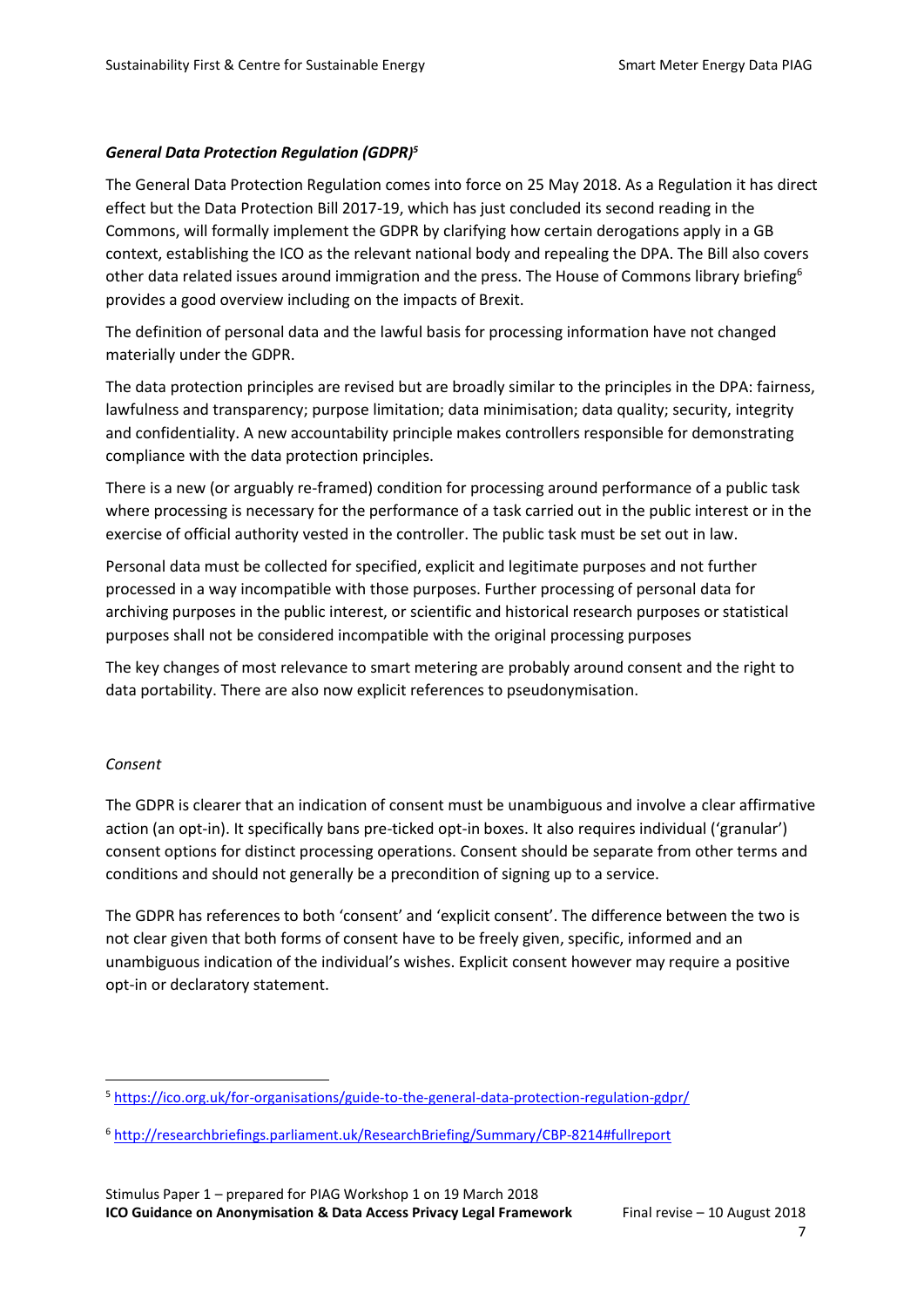#### *General Data Protection Regulation (GDPR) 5*

The General Data Protection Regulation comes into force on 25 May 2018. As a Regulation it has direct effect but the Data Protection Bill 2017-19, which has just concluded its second reading in the Commons, will formally implement the GDPR by clarifying how certain derogations apply in a GB context, establishing the ICO as the relevant national body and repealing the DPA. The Bill also covers other data related issues around immigration and the press. The House of Commons library briefing<sup>6</sup> provides a good overview including on the impacts of Brexit.

The definition of personal data and the lawful basis for processing information have not changed materially under the GDPR.

The data protection principles are revised but are broadly similar to the principles in the DPA: fairness, lawfulness and transparency; purpose limitation; data minimisation; data quality; security, integrity and confidentiality. A new accountability principle makes controllers responsible for demonstrating compliance with the data protection principles.

There is a new (or arguably re-framed) condition for processing around performance of a public task where processing is necessary for the performance of a task carried out in the public interest or in the exercise of official authority vested in the controller. The public task must be set out in law.

Personal data must be collected for specified, explicit and legitimate purposes and not further processed in a way incompatible with those purposes. Further processing of personal data for archiving purposes in the public interest, or scientific and historical research purposes or statistical purposes shall not be considered incompatible with the original processing purposes

The key changes of most relevance to smart metering are probably around consent and the right to data portability. There are also now explicit references to pseudonymisation.

#### *Consent*

 $\overline{a}$ 

The GDPR is clearer that an indication of consent must be unambiguous and involve a clear affirmative action (an opt-in). It specifically bans pre-ticked opt-in boxes. It also requires individual ('granular') consent options for distinct processing operations. Consent should be separate from other terms and conditions and should not generally be a precondition of signing up to a service.

The GDPR has references to both 'consent' and 'explicit consent'. The difference between the two is not clear given that both forms of consent have to be freely given, specific, informed and an unambiguous indication of the individual's wishes. Explicit consent however may require a positive opt-in or declaratory statement.

<sup>5</sup> <https://ico.org.uk/for-organisations/guide-to-the-general-data-protection-regulation-gdpr/>

<sup>6</sup> <http://researchbriefings.parliament.uk/ResearchBriefing/Summary/CBP-8214#fullreport>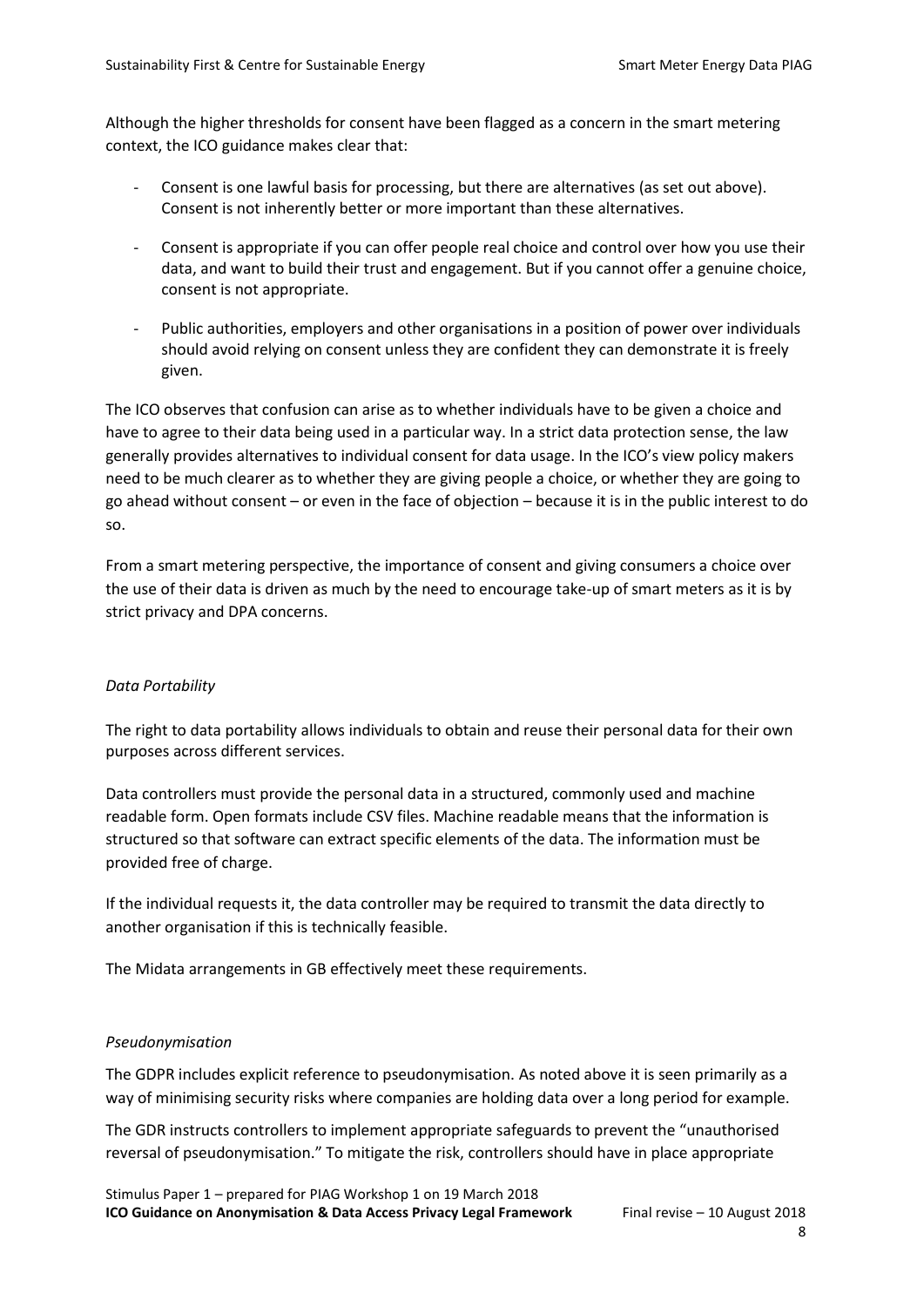Although the higher thresholds for consent have been flagged as a concern in the smart metering context, the ICO guidance makes clear that:

- Consent is one lawful basis for processing, but there are alternatives (as set out above). Consent is not inherently better or more important than these alternatives.
- Consent is appropriate if you can offer people real choice and control over how you use their data, and want to build their trust and engagement. But if you cannot offer a genuine choice, consent is not appropriate.
- Public authorities, employers and other organisations in a position of power over individuals should avoid relying on consent unless they are confident they can demonstrate it is freely given.

The ICO observes that confusion can arise as to whether individuals have to be given a choice and have to agree to their data being used in a particular way. In a strict data protection sense, the law generally provides alternatives to individual consent for data usage. In the ICO's view policy makers need to be much clearer as to whether they are giving people a choice, or whether they are going to go ahead without consent – or even in the face of objection – because it is in the public interest to do so.

From a smart metering perspective, the importance of consent and giving consumers a choice over the use of their data is driven as much by the need to encourage take-up of smart meters as it is by strict privacy and DPA concerns.

#### *Data Portability*

The right to data portability allows individuals to obtain and reuse their personal data for their own purposes across different services.

Data controllers must provide the personal data in a structured, commonly used and machine readable form. Open formats include CSV files. Machine readable means that the information is structured so that software can extract specific elements of the data. The information must be provided free of charge.

If the individual requests it, the data controller may be required to transmit the data directly to another organisation if this is technically feasible.

The Midata arrangements in GB effectively meet these requirements.

#### *Pseudonymisation*

The GDPR includes explicit reference to pseudonymisation. As noted above it is seen primarily as a way of minimising security risks where companies are holding data over a long period for example.

The GDR instructs controllers to implement appropriate safeguards to prevent the "unauthorised reversal of pseudonymisation." To mitigate the risk, controllers should have in place appropriate

Stimulus Paper 1 – prepared for PIAG Workshop 1 on 19 March 2018 **ICO Guidance on Anonymisation & Data Access Privacy Legal Framework** Final revise – 10 August 2018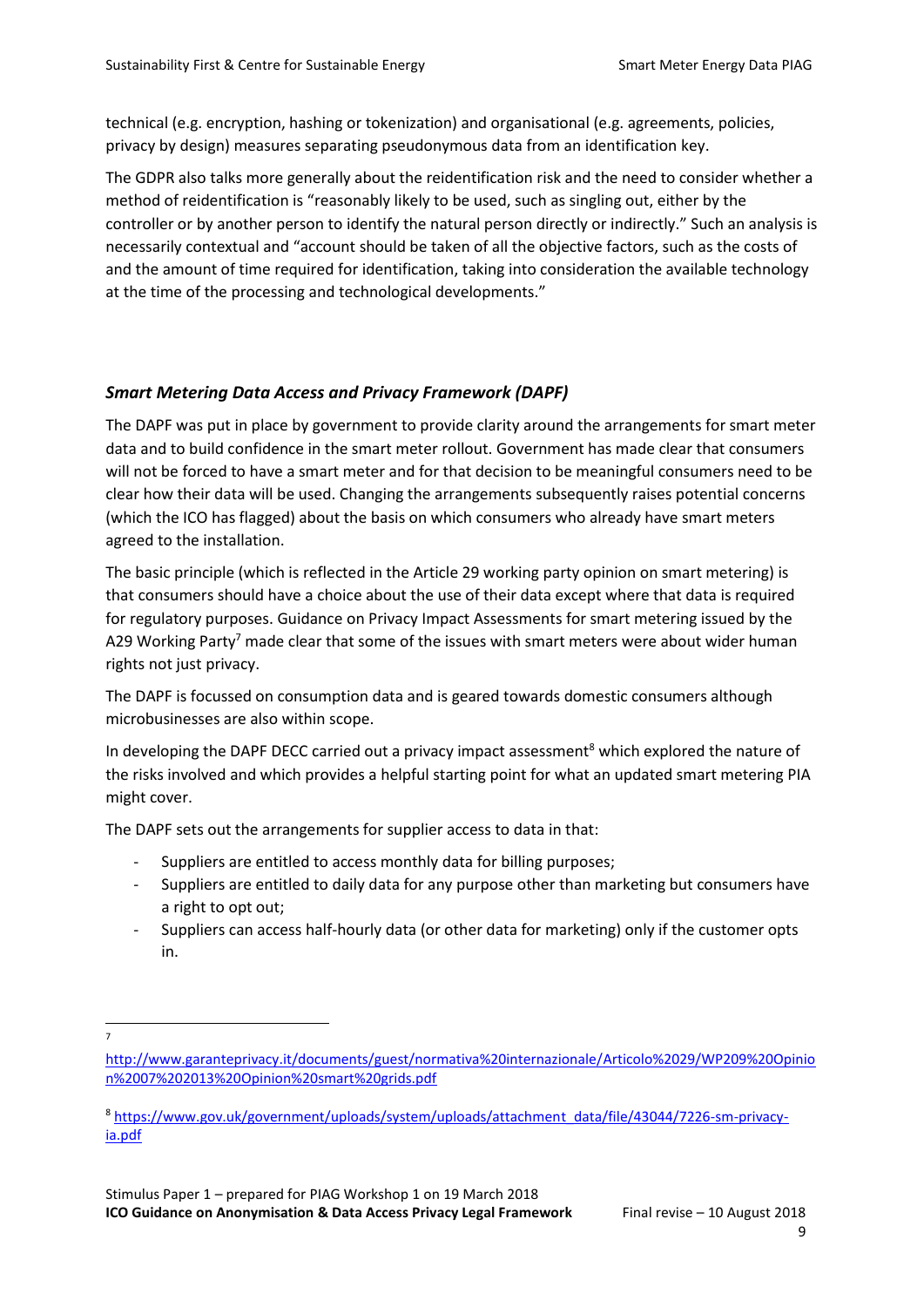technical (e.g. encryption, hashing or tokenization) and organisational (e.g. agreements, policies, privacy by design) measures separating pseudonymous data from an identification key.

The GDPR also talks more generally about the reidentification risk and the need to consider whether a method of reidentification is "reasonably likely to be used, such as singling out, either by the controller or by another person to identify the natural person directly or indirectly." Such an analysis is necessarily contextual and "account should be taken of all the objective factors, such as the costs of and the amount of time required for identification, taking into consideration the available technology at the time of the processing and technological developments."

#### *Smart Metering Data Access and Privacy Framework (DAPF)*

The DAPF was put in place by government to provide clarity around the arrangements for smart meter data and to build confidence in the smart meter rollout. Government has made clear that consumers will not be forced to have a smart meter and for that decision to be meaningful consumers need to be clear how their data will be used. Changing the arrangements subsequently raises potential concerns (which the ICO has flagged) about the basis on which consumers who already have smart meters agreed to the installation.

The basic principle (which is reflected in the Article 29 working party opinion on smart metering) is that consumers should have a choice about the use of their data except where that data is required for regulatory purposes. Guidance on Privacy Impact Assessments for smart metering issued by the A29 Working Party<sup>7</sup> made clear that some of the issues with smart meters were about wider human rights not just privacy.

The DAPF is focussed on consumption data and is geared towards domestic consumers although microbusinesses are also within scope.

In developing the DAPF DECC carried out a privacy impact assessment<sup>8</sup> which explored the nature of the risks involved and which provides a helpful starting point for what an updated smart metering PIA might cover.

The DAPF sets out the arrangements for supplier access to data in that:

- Suppliers are entitled to access monthly data for billing purposes;
- Suppliers are entitled to daily data for any purpose other than marketing but consumers have a right to opt out;
- Suppliers can access half-hourly data (or other data for marketing) only if the customer opts in.

 $\overline{a}$ 7

[http://www.garanteprivacy.it/documents/guest/normativa%20internazionale/Articolo%2029/WP209%20Opinio](http://www.garanteprivacy.it/documents/guest/normativa%20internazionale/Articolo%2029/WP209%20Opinion%2007%202013%20Opinion%20smart%20grids.pdf) [n%2007%202013%20Opinion%20smart%20grids.pdf](http://www.garanteprivacy.it/documents/guest/normativa%20internazionale/Articolo%2029/WP209%20Opinion%2007%202013%20Opinion%20smart%20grids.pdf)

<sup>8</sup> [https://www.gov.uk/government/uploads/system/uploads/attachment\\_data/file/43044/7226-sm-privacy](https://www.gov.uk/government/uploads/system/uploads/attachment_data/file/43044/7226-sm-privacy-ia.pdf)[ia.pdf](https://www.gov.uk/government/uploads/system/uploads/attachment_data/file/43044/7226-sm-privacy-ia.pdf)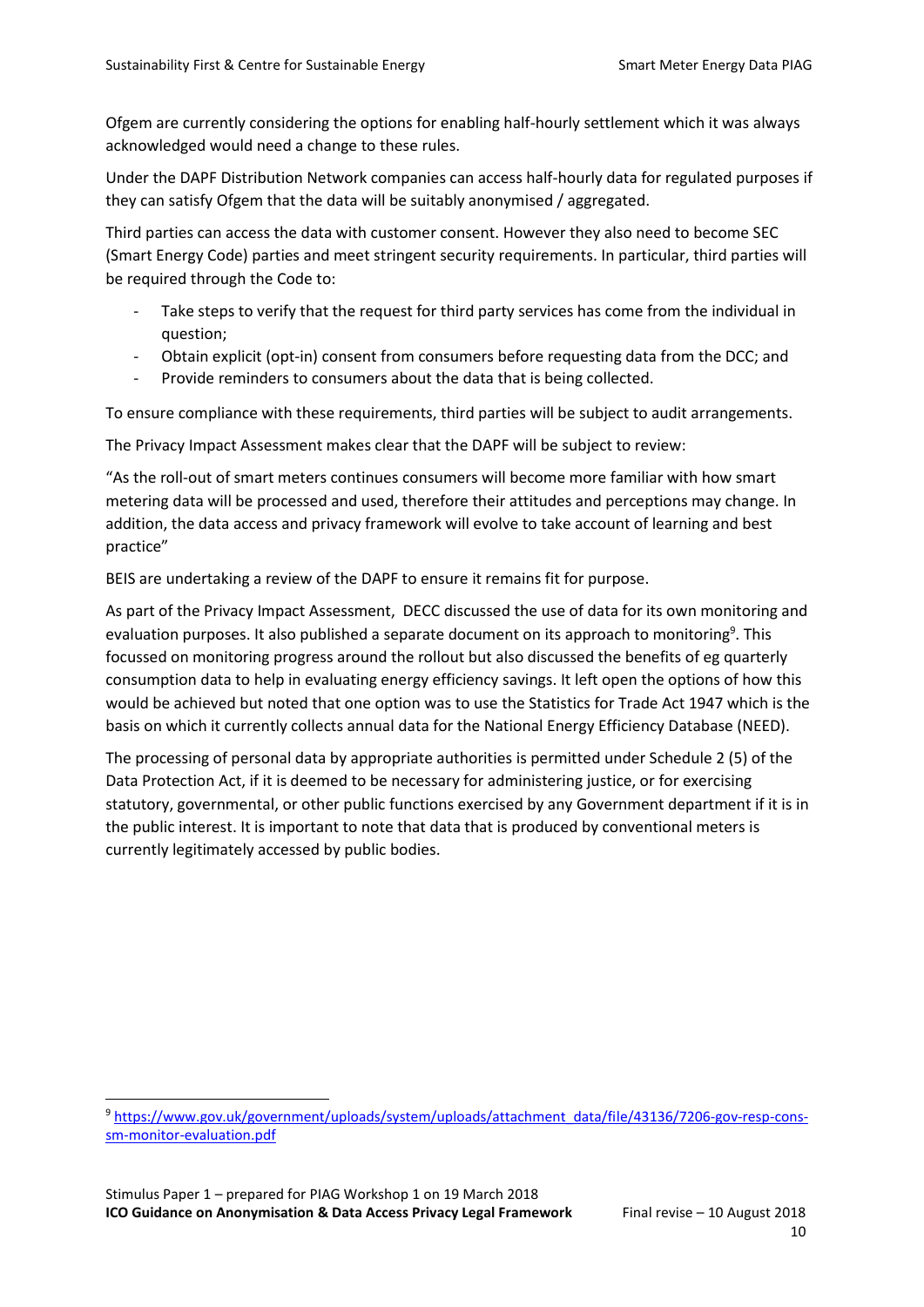Ofgem are currently considering the options for enabling half-hourly settlement which it was always acknowledged would need a change to these rules.

Under the DAPF Distribution Network companies can access half-hourly data for regulated purposes if they can satisfy Ofgem that the data will be suitably anonymised / aggregated.

Third parties can access the data with customer consent. However they also need to become SEC (Smart Energy Code) parties and meet stringent security requirements. In particular, third parties will be required through the Code to:

- Take steps to verify that the request for third party services has come from the individual in question;
- Obtain explicit (opt-in) consent from consumers before requesting data from the DCC; and
- Provide reminders to consumers about the data that is being collected.

To ensure compliance with these requirements, third parties will be subject to audit arrangements.

The Privacy Impact Assessment makes clear that the DAPF will be subject to review:

"As the roll-out of smart meters continues consumers will become more familiar with how smart metering data will be processed and used, therefore their attitudes and perceptions may change. In addition, the data access and privacy framework will evolve to take account of learning and best practice"

BEIS are undertaking a review of the DAPF to ensure it remains fit for purpose.

As part of the Privacy Impact Assessment, DECC discussed the use of data for its own monitoring and evaluation purposes. It also published a separate document on its approach to monitoring<sup>9</sup>. This focussed on monitoring progress around the rollout but also discussed the benefits of eg quarterly consumption data to help in evaluating energy efficiency savings. It left open the options of how this would be achieved but noted that one option was to use the Statistics for Trade Act 1947 which is the basis on which it currently collects annual data for the National Energy Efficiency Database (NEED).

The processing of personal data by appropriate authorities is permitted under Schedule 2 (5) of the Data Protection Act, if it is deemed to be necessary for administering justice, or for exercising statutory, governmental, or other public functions exercised by any Government department if it is in the public interest. It is important to note that data that is produced by conventional meters is currently legitimately accessed by public bodies.

 $\overline{a}$ 

<sup>9</sup> [https://www.gov.uk/government/uploads/system/uploads/attachment\\_data/file/43136/7206-gov-resp-cons](https://www.gov.uk/government/uploads/system/uploads/attachment_data/file/43136/7206-gov-resp-cons-sm-monitor-evaluation.pdf)[sm-monitor-evaluation.pdf](https://www.gov.uk/government/uploads/system/uploads/attachment_data/file/43136/7206-gov-resp-cons-sm-monitor-evaluation.pdf)